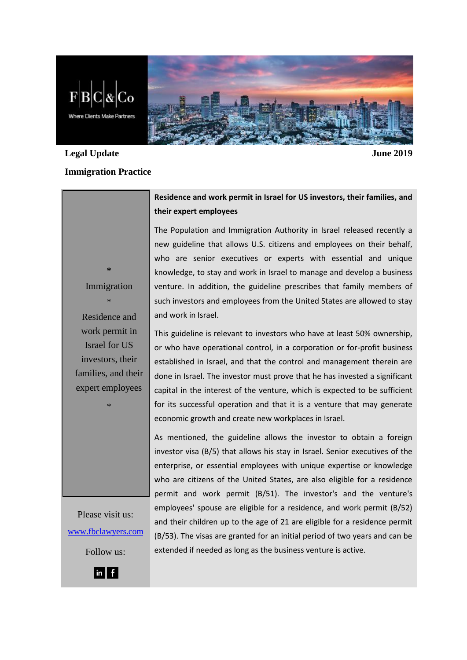

# **Legal Update June 2019**

### **Immigration Practice**

## **Residence and work permit in Israel for US investors, their families, and their expert employees**

The Population and Immigration Authority in Israel released recently a new guideline that allows U.S. citizens and employees on their behalf, who are senior executives or experts with essential and unique knowledge, to stay and work in Israel to manage and develop a business venture. In addition, the guideline prescribes that family members of such investors and employees from the United States are allowed to stay and work in Israel.

This guideline is relevant to investors who have at least 50% ownership, or who have operational control, in a corporation or for-profit business established in Israel, and that the control and management therein are done in Israel. The investor must prove that he has invested a significant capital in the interest of the venture, which is expected to be sufficient for its successful operation and that it is a venture that may generate economic growth and create new workplaces in Israel.

As mentioned, the guideline allows the investor to obtain a foreign investor visa (B/5) that allows his stay in Israel. Senior executives of the enterprise, or essential employees with unique expertise or knowledge who are citizens of the United States, are also eligible for a residence permit and work permit (B/51). The investor's and the venture's employees' spouse are eligible for a residence, and work permit (B/52) and their children up to the age of 21 are eligible for a residence permit (B/53). The visas are granted for an initial period of two years and can be extended if needed as long as the business venture is active.

Immigration \* Residence and work permit in Israel for US investors, their families, and their expert employees

\*

**\***

Please visit us: [www.fbclawyers.com](http://www.fbclawyers.com/)

Follow us: